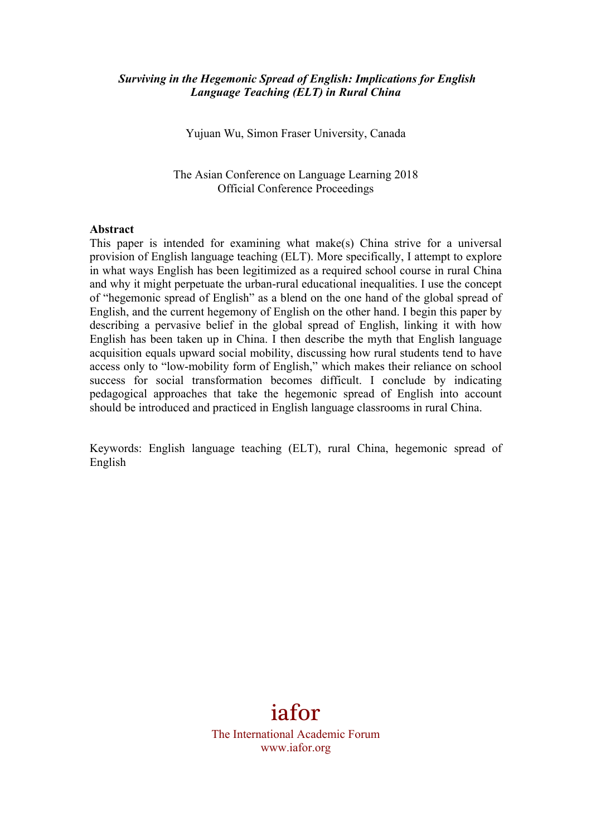## *Surviving in the Hegemonic Spread of English: Implications for English Language Teaching (ELT) in Rural China*

Yujuan Wu, Simon Fraser University, Canada

The Asian Conference on Language Learning 2018 Official Conference Proceedings

#### **Abstract**

This paper is intended for examining what make(s) China strive for a universal provision of English language teaching (ELT). More specifically, I attempt to explore in what ways English has been legitimized as a required school course in rural China and why it might perpetuate the urban-rural educational inequalities. I use the concept of "hegemonic spread of English" as a blend on the one hand of the global spread of English, and the current hegemony of English on the other hand. I begin this paper by describing a pervasive belief in the global spread of English, linking it with how English has been taken up in China. I then describe the myth that English language acquisition equals upward social mobility, discussing how rural students tend to have access only to "low-mobility form of English," which makes their reliance on school success for social transformation becomes difficult. I conclude by indicating pedagogical approaches that take the hegemonic spread of English into account should be introduced and practiced in English language classrooms in rural China.

Keywords: English language teaching (ELT), rural China, hegemonic spread of English

# iafor

The International Academic Forum www.iafor.org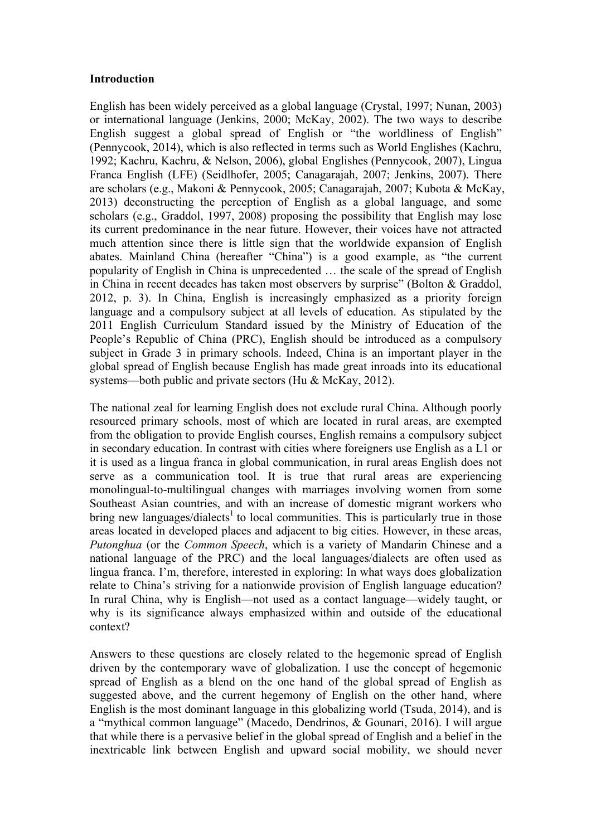## **Introduction**

English has been widely perceived as a global language (Crystal, 1997; Nunan, 2003) or international language (Jenkins, 2000; McKay, 2002). The two ways to describe English suggest a global spread of English or "the worldliness of English" (Pennycook, 2014), which is also reflected in terms such as World Englishes (Kachru, 1992; Kachru, Kachru, & Nelson, 2006), global Englishes (Pennycook, 2007), Lingua Franca English (LFE) (Seidlhofer, 2005; Canagarajah, 2007; Jenkins, 2007). There are scholars (e.g., Makoni & Pennycook, 2005; Canagarajah, 2007; Kubota & McKay, 2013) deconstructing the perception of English as a global language, and some scholars (e.g., Graddol, 1997, 2008) proposing the possibility that English may lose its current predominance in the near future. However, their voices have not attracted much attention since there is little sign that the worldwide expansion of English abates. Mainland China (hereafter "China") is a good example, as "the current popularity of English in China is unprecedented … the scale of the spread of English in China in recent decades has taken most observers by surprise" (Bolton & Graddol, 2012, p. 3). In China, English is increasingly emphasized as a priority foreign language and a compulsory subject at all levels of education. As stipulated by the 2011 English Curriculum Standard issued by the Ministry of Education of the People's Republic of China (PRC), English should be introduced as a compulsory subject in Grade 3 in primary schools. Indeed, China is an important player in the global spread of English because English has made great inroads into its educational systems—both public and private sectors (Hu & McKay, 2012).

The national zeal for learning English does not exclude rural China. Although poorly resourced primary schools, most of which are located in rural areas, are exempted from the obligation to provide English courses, English remains a compulsory subject in secondary education. In contrast with cities where foreigners use English as a L1 or it is used as a lingua franca in global communication, in rural areas English does not serve as a communication tool. It is true that rural areas are experiencing monolingual-to-multilingual changes with marriages involving women from some Southeast Asian countries, and with an increase of domestic migrant workers who bring new languages/dialects<sup>1</sup> to local communities. This is particularly true in those areas located in developed places and adjacent to big cities. However, in these areas, *Putonghua* (or the *Common Speech*, which is a variety of Mandarin Chinese and a national language of the PRC) and the local languages/dialects are often used as lingua franca. I'm, therefore, interested in exploring: In what ways does globalization relate to China's striving for a nationwide provision of English language education? In rural China, why is English—not used as a contact language—widely taught, or why is its significance always emphasized within and outside of the educational context?

Answers to these questions are closely related to the hegemonic spread of English driven by the contemporary wave of globalization. I use the concept of hegemonic spread of English as a blend on the one hand of the global spread of English as suggested above, and the current hegemony of English on the other hand, where English is the most dominant language in this globalizing world (Tsuda, 2014), and is a "mythical common language" (Macedo, Dendrinos, & Gounari, 2016). I will argue that while there is a pervasive belief in the global spread of English and a belief in the inextricable link between English and upward social mobility, we should never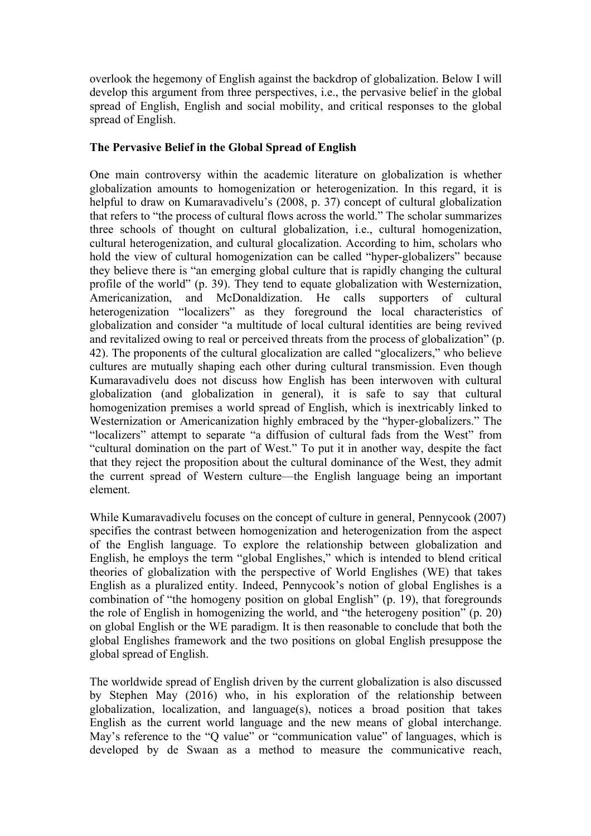overlook the hegemony of English against the backdrop of globalization. Below I will develop this argument from three perspectives, i.e., the pervasive belief in the global spread of English, English and social mobility, and critical responses to the global spread of English.

## **The Pervasive Belief in the Global Spread of English**

One main controversy within the academic literature on globalization is whether globalization amounts to homogenization or heterogenization. In this regard, it is helpful to draw on Kumaravadivelu's (2008, p. 37) concept of cultural globalization that refers to "the process of cultural flows across the world." The scholar summarizes three schools of thought on cultural globalization, i.e., cultural homogenization, cultural heterogenization, and cultural glocalization. According to him, scholars who hold the view of cultural homogenization can be called "hyper-globalizers" because they believe there is "an emerging global culture that is rapidly changing the cultural profile of the world" (p. 39). They tend to equate globalization with Westernization, Americanization, and McDonaldization. He calls supporters of cultural heterogenization "localizers" as they foreground the local characteristics of globalization and consider "a multitude of local cultural identities are being revived and revitalized owing to real or perceived threats from the process of globalization" (p. 42). The proponents of the cultural glocalization are called "glocalizers," who believe cultures are mutually shaping each other during cultural transmission. Even though Kumaravadivelu does not discuss how English has been interwoven with cultural globalization (and globalization in general), it is safe to say that cultural homogenization premises a world spread of English, which is inextricably linked to Westernization or Americanization highly embraced by the "hyper-globalizers." The "localizers" attempt to separate "a diffusion of cultural fads from the West" from "cultural domination on the part of West." To put it in another way, despite the fact that they reject the proposition about the cultural dominance of the West, they admit the current spread of Western culture—the English language being an important element.

While Kumaravadivelu focuses on the concept of culture in general, Pennycook (2007) specifies the contrast between homogenization and heterogenization from the aspect of the English language. To explore the relationship between globalization and English, he employs the term "global Englishes," which is intended to blend critical theories of globalization with the perspective of World Englishes (WE) that takes English as a pluralized entity. Indeed, Pennycook's notion of global Englishes is a combination of "the homogeny position on global English" (p. 19), that foregrounds the role of English in homogenizing the world, and "the heterogeny position" (p. 20) on global English or the WE paradigm. It is then reasonable to conclude that both the global Englishes framework and the two positions on global English presuppose the global spread of English.

The worldwide spread of English driven by the current globalization is also discussed by Stephen May (2016) who, in his exploration of the relationship between globalization, localization, and language(s), notices a broad position that takes English as the current world language and the new means of global interchange. May's reference to the "Q value" or "communication value" of languages, which is developed by de Swaan as a method to measure the communicative reach,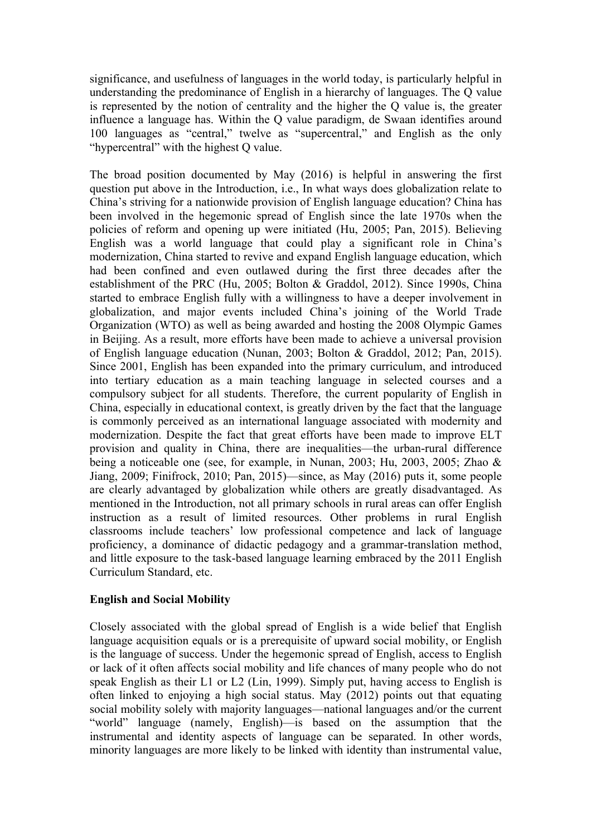significance, and usefulness of languages in the world today, is particularly helpful in understanding the predominance of English in a hierarchy of languages. The Q value is represented by the notion of centrality and the higher the Q value is, the greater influence a language has. Within the Q value paradigm, de Swaan identifies around 100 languages as "central," twelve as "supercentral," and English as the only "hypercentral" with the highest Q value.

The broad position documented by May (2016) is helpful in answering the first question put above in the Introduction, i.e., In what ways does globalization relate to China's striving for a nationwide provision of English language education? China has been involved in the hegemonic spread of English since the late 1970s when the policies of reform and opening up were initiated (Hu, 2005; Pan, 2015). Believing English was a world language that could play a significant role in China's modernization, China started to revive and expand English language education, which had been confined and even outlawed during the first three decades after the establishment of the PRC (Hu, 2005; Bolton & Graddol, 2012). Since 1990s, China started to embrace English fully with a willingness to have a deeper involvement in globalization, and major events included China's joining of the World Trade Organization (WTO) as well as being awarded and hosting the 2008 Olympic Games in Beijing. As a result, more efforts have been made to achieve a universal provision of English language education (Nunan, 2003; Bolton & Graddol, 2012; Pan, 2015). Since 2001, English has been expanded into the primary curriculum, and introduced into tertiary education as a main teaching language in selected courses and a compulsory subject for all students. Therefore, the current popularity of English in China, especially in educational context, is greatly driven by the fact that the language is commonly perceived as an international language associated with modernity and modernization. Despite the fact that great efforts have been made to improve ELT provision and quality in China, there are inequalities—the urban-rural difference being a noticeable one (see, for example, in Nunan, 2003; Hu, 2003, 2005; Zhao & Jiang, 2009; Finifrock, 2010; Pan, 2015)—since, as May (2016) puts it, some people are clearly advantaged by globalization while others are greatly disadvantaged. As mentioned in the Introduction, not all primary schools in rural areas can offer English instruction as a result of limited resources. Other problems in rural English classrooms include teachers' low professional competence and lack of language proficiency, a dominance of didactic pedagogy and a grammar-translation method, and little exposure to the task-based language learning embraced by the 2011 English Curriculum Standard, etc.

# **English and Social Mobility**

Closely associated with the global spread of English is a wide belief that English language acquisition equals or is a prerequisite of upward social mobility, or English is the language of success. Under the hegemonic spread of English, access to English or lack of it often affects social mobility and life chances of many people who do not speak English as their L1 or L2 (Lin, 1999). Simply put, having access to English is often linked to enjoying a high social status. May (2012) points out that equating social mobility solely with majority languages—national languages and/or the current "world" language (namely, English)—is based on the assumption that the instrumental and identity aspects of language can be separated. In other words, minority languages are more likely to be linked with identity than instrumental value,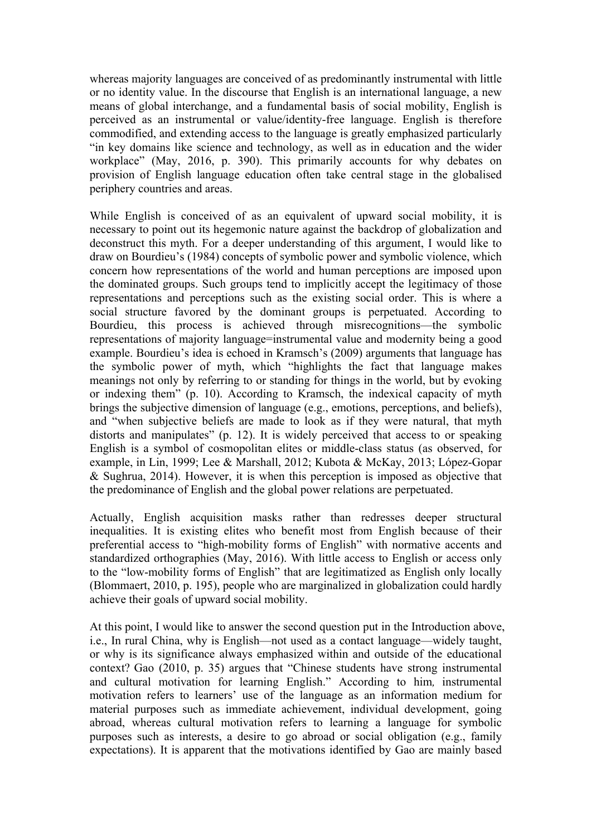whereas majority languages are conceived of as predominantly instrumental with little or no identity value. In the discourse that English is an international language, a new means of global interchange, and a fundamental basis of social mobility, English is perceived as an instrumental or value/identity-free language. English is therefore commodified, and extending access to the language is greatly emphasized particularly "in key domains like science and technology, as well as in education and the wider workplace" (May, 2016, p. 390). This primarily accounts for why debates on provision of English language education often take central stage in the globalised periphery countries and areas.

While English is conceived of as an equivalent of upward social mobility, it is necessary to point out its hegemonic nature against the backdrop of globalization and deconstruct this myth. For a deeper understanding of this argument, I would like to draw on Bourdieu's (1984) concepts of symbolic power and symbolic violence, which concern how representations of the world and human perceptions are imposed upon the dominated groups. Such groups tend to implicitly accept the legitimacy of those representations and perceptions such as the existing social order. This is where a social structure favored by the dominant groups is perpetuated. According to Bourdieu, this process is achieved through misrecognitions—the symbolic representations of majority language=instrumental value and modernity being a good example. Bourdieu's idea is echoed in Kramsch's (2009) arguments that language has the symbolic power of myth, which "highlights the fact that language makes meanings not only by referring to or standing for things in the world, but by evoking or indexing them" (p. 10). According to Kramsch, the indexical capacity of myth brings the subjective dimension of language (e.g., emotions, perceptions, and beliefs), and "when subjective beliefs are made to look as if they were natural, that myth distorts and manipulates" (p. 12). It is widely perceived that access to or speaking English is a symbol of cosmopolitan elites or middle-class status (as observed, for example, in Lin, 1999; Lee & Marshall, 2012; Kubota & McKay, 2013; López-Gopar & Sughrua, 2014). However, it is when this perception is imposed as objective that the predominance of English and the global power relations are perpetuated.

Actually, English acquisition masks rather than redresses deeper structural inequalities. It is existing elites who benefit most from English because of their preferential access to "high-mobility forms of English" with normative accents and standardized orthographies (May, 2016). With little access to English or access only to the "low-mobility forms of English" that are legitimatized as English only locally (Blommaert, 2010, p. 195), people who are marginalized in globalization could hardly achieve their goals of upward social mobility.

At this point, I would like to answer the second question put in the Introduction above, i.e., In rural China, why is English—not used as a contact language—widely taught, or why is its significance always emphasized within and outside of the educational context? Gao (2010, p. 35) argues that "Chinese students have strong instrumental and cultural motivation for learning English." According to him*,* instrumental motivation refers to learners' use of the language as an information medium for material purposes such as immediate achievement, individual development, going abroad, whereas cultural motivation refers to learning a language for symbolic purposes such as interests, a desire to go abroad or social obligation (e.g., family expectations). It is apparent that the motivations identified by Gao are mainly based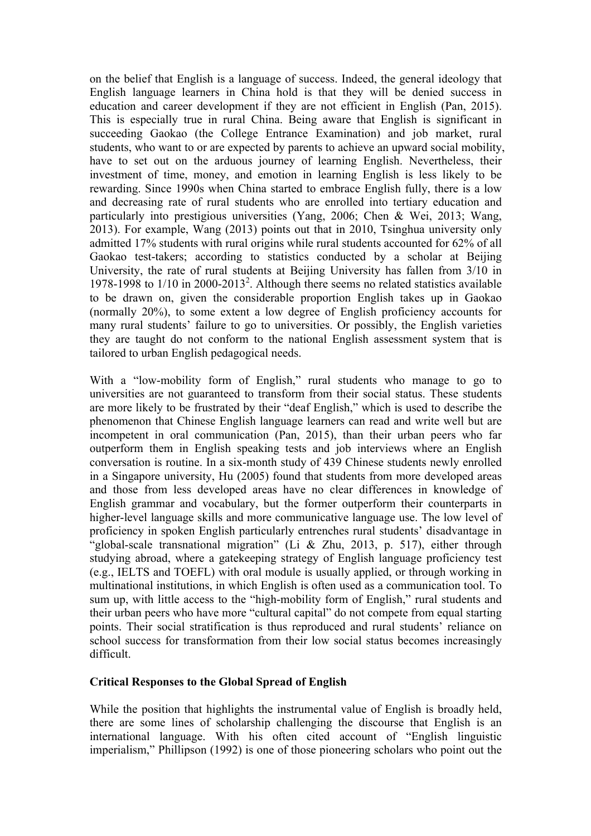on the belief that English is a language of success. Indeed, the general ideology that English language learners in China hold is that they will be denied success in education and career development if they are not efficient in English (Pan, 2015). This is especially true in rural China. Being aware that English is significant in succeeding Gaokao (the College Entrance Examination) and job market, rural students, who want to or are expected by parents to achieve an upward social mobility, have to set out on the arduous journey of learning English. Nevertheless, their investment of time, money, and emotion in learning English is less likely to be rewarding. Since 1990s when China started to embrace English fully, there is a low and decreasing rate of rural students who are enrolled into tertiary education and particularly into prestigious universities (Yang, 2006; Chen & Wei, 2013; Wang, 2013). For example, Wang (2013) points out that in 2010, Tsinghua university only admitted 17% students with rural origins while rural students accounted for 62% of all Gaokao test-takers; according to statistics conducted by a scholar at Beijing University, the rate of rural students at Beijing University has fallen from 3/10 in 1978-1998 to  $1/10$  in 2000-2013<sup>2</sup>. Although there seems no related statistics available to be drawn on, given the considerable proportion English takes up in Gaokao (normally 20%), to some extent a low degree of English proficiency accounts for many rural students' failure to go to universities. Or possibly, the English varieties they are taught do not conform to the national English assessment system that is tailored to urban English pedagogical needs.

With a "low-mobility form of English," rural students who manage to go to universities are not guaranteed to transform from their social status. These students are more likely to be frustrated by their "deaf English," which is used to describe the phenomenon that Chinese English language learners can read and write well but are incompetent in oral communication (Pan, 2015), than their urban peers who far outperform them in English speaking tests and job interviews where an English conversation is routine. In a six-month study of 439 Chinese students newly enrolled in a Singapore university, Hu (2005) found that students from more developed areas and those from less developed areas have no clear differences in knowledge of English grammar and vocabulary, but the former outperform their counterparts in higher-level language skills and more communicative language use. The low level of proficiency in spoken English particularly entrenches rural students' disadvantage in "global-scale transnational migration" (Li & Zhu, 2013, p. 517), either through studying abroad, where a gatekeeping strategy of English language proficiency test (e.g., IELTS and TOEFL) with oral module is usually applied, or through working in multinational institutions, in which English is often used as a communication tool. To sum up, with little access to the "high-mobility form of English," rural students and their urban peers who have more "cultural capital" do not compete from equal starting points. Their social stratification is thus reproduced and rural students' reliance on school success for transformation from their low social status becomes increasingly difficult.

## **Critical Responses to the Global Spread of English**

While the position that highlights the instrumental value of English is broadly held, there are some lines of scholarship challenging the discourse that English is an international language. With his often cited account of "English linguistic imperialism," Phillipson (1992) is one of those pioneering scholars who point out the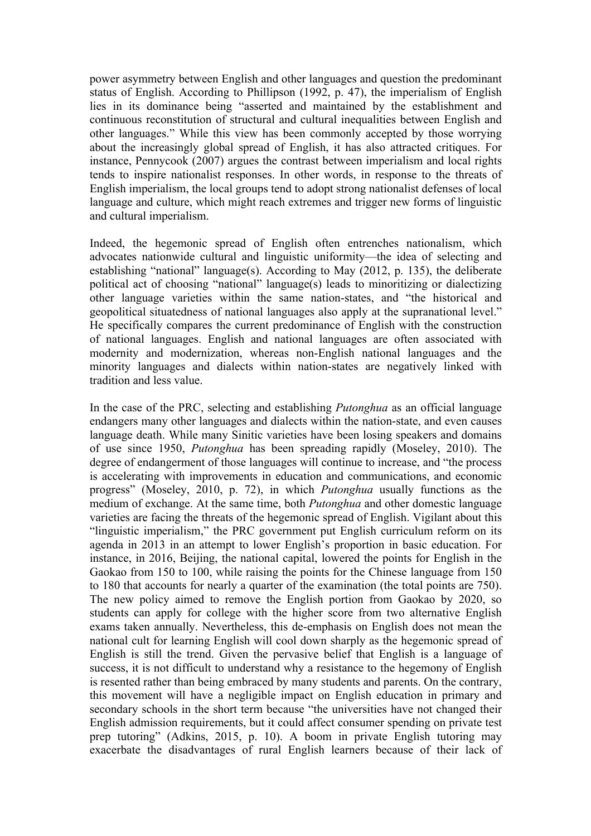power asymmetry between English and other languages and question the predominant status of English. According to Phillipson (1992, p. 47), the imperialism of English lies in its dominance being "asserted and maintained by the establishment and continuous reconstitution of structural and cultural inequalities between English and other languages." While this view has been commonly accepted by those worrying about the increasingly global spread of English, it has also attracted critiques. For instance, Pennycook (2007) argues the contrast between imperialism and local rights tends to inspire nationalist responses. In other words, in response to the threats of English imperialism, the local groups tend to adopt strong nationalist defenses of local language and culture, which might reach extremes and trigger new forms of linguistic and cultural imperialism.

Indeed, the hegemonic spread of English often entrenches nationalism, which advocates nationwide cultural and linguistic uniformity—the idea of selecting and establishing "national" language(s). According to May (2012, p. 135), the deliberate political act of choosing "national" language(s) leads to minoritizing or dialectizing other language varieties within the same nation-states, and "the historical and geopolitical situatedness of national languages also apply at the supranational level." He specifically compares the current predominance of English with the construction of national languages. English and national languages are often associated with modernity and modernization, whereas non-English national languages and the minority languages and dialects within nation-states are negatively linked with tradition and less value.

In the case of the PRC, selecting and establishing *Putonghua* as an official language endangers many other languages and dialects within the nation-state, and even causes language death. While many Sinitic varieties have been losing speakers and domains of use since 1950, *Putonghua* has been spreading rapidly (Moseley, 2010). The degree of endangerment of those languages will continue to increase, and "the process is accelerating with improvements in education and communications, and economic progress" (Moseley, 2010, p. 72), in which *Putonghua* usually functions as the medium of exchange. At the same time, both *Putonghua* and other domestic language varieties are facing the threats of the hegemonic spread of English. Vigilant about this "linguistic imperialism," the PRC government put English curriculum reform on its agenda in 2013 in an attempt to lower English's proportion in basic education. For instance, in 2016, Beijing, the national capital, lowered the points for English in the Gaokao from 150 to 100, while raising the points for the Chinese language from 150 to 180 that accounts for nearly a quarter of the examination (the total points are 750). The new policy aimed to remove the English portion from Gaokao by 2020, so students can apply for college with the higher score from two alternative English exams taken annually. Nevertheless, this de-emphasis on English does not mean the national cult for learning English will cool down sharply as the hegemonic spread of English is still the trend. Given the pervasive belief that English is a language of success, it is not difficult to understand why a resistance to the hegemony of English is resented rather than being embraced by many students and parents. On the contrary, this movement will have a negligible impact on English education in primary and secondary schools in the short term because "the universities have not changed their English admission requirements, but it could affect consumer spending on private test prep tutoring" (Adkins, 2015, p. 10). A boom in private English tutoring may exacerbate the disadvantages of rural English learners because of their lack of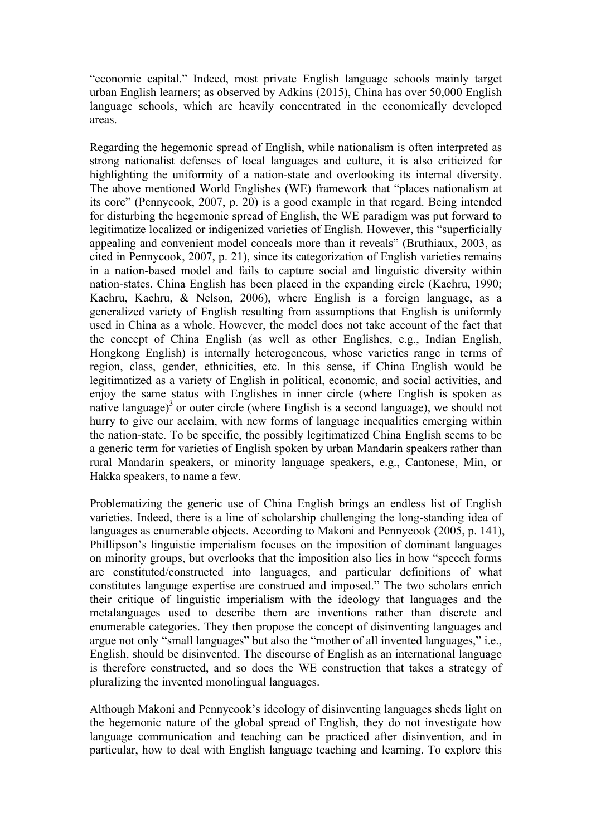"economic capital." Indeed, most private English language schools mainly target urban English learners; as observed by Adkins (2015), China has over 50,000 English language schools, which are heavily concentrated in the economically developed areas.

Regarding the hegemonic spread of English, while nationalism is often interpreted as strong nationalist defenses of local languages and culture, it is also criticized for highlighting the uniformity of a nation-state and overlooking its internal diversity. The above mentioned World Englishes (WE) framework that "places nationalism at its core" (Pennycook, 2007, p. 20) is a good example in that regard. Being intended for disturbing the hegemonic spread of English, the WE paradigm was put forward to legitimatize localized or indigenized varieties of English. However, this "superficially appealing and convenient model conceals more than it reveals" (Bruthiaux, 2003, as cited in Pennycook, 2007, p. 21), since its categorization of English varieties remains in a nation-based model and fails to capture social and linguistic diversity within nation-states. China English has been placed in the expanding circle (Kachru, 1990; Kachru, Kachru, & Nelson, 2006), where English is a foreign language, as a generalized variety of English resulting from assumptions that English is uniformly used in China as a whole. However, the model does not take account of the fact that the concept of China English (as well as other Englishes, e.g., Indian English, Hongkong English) is internally heterogeneous, whose varieties range in terms of region, class, gender, ethnicities, etc. In this sense, if China English would be legitimatized as a variety of English in political, economic, and social activities, and enjoy the same status with Englishes in inner circle (where English is spoken as native language)<sup>3</sup> or outer circle (where English is a second language), we should not hurry to give our acclaim, with new forms of language inequalities emerging within the nation-state. To be specific, the possibly legitimatized China English seems to be a generic term for varieties of English spoken by urban Mandarin speakers rather than rural Mandarin speakers, or minority language speakers, e.g., Cantonese, Min, or Hakka speakers, to name a few.

Problematizing the generic use of China English brings an endless list of English varieties. Indeed, there is a line of scholarship challenging the long-standing idea of languages as enumerable objects. According to Makoni and Pennycook (2005, p. 141), Phillipson's linguistic imperialism focuses on the imposition of dominant languages on minority groups, but overlooks that the imposition also lies in how "speech forms are constituted/constructed into languages, and particular definitions of what constitutes language expertise are construed and imposed." The two scholars enrich their critique of linguistic imperialism with the ideology that languages and the metalanguages used to describe them are inventions rather than discrete and enumerable categories. They then propose the concept of disinventing languages and argue not only "small languages" but also the "mother of all invented languages," i.e., English, should be disinvented. The discourse of English as an international language is therefore constructed, and so does the WE construction that takes a strategy of pluralizing the invented monolingual languages.

Although Makoni and Pennycook's ideology of disinventing languages sheds light on the hegemonic nature of the global spread of English, they do not investigate how language communication and teaching can be practiced after disinvention, and in particular, how to deal with English language teaching and learning. To explore this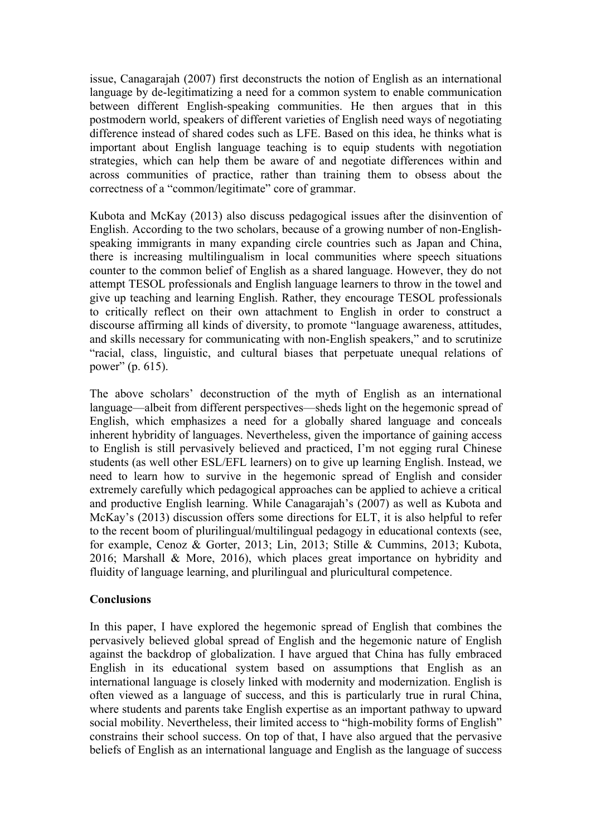issue, Canagarajah (2007) first deconstructs the notion of English as an international language by de-legitimatizing a need for a common system to enable communication between different English-speaking communities. He then argues that in this postmodern world, speakers of different varieties of English need ways of negotiating difference instead of shared codes such as LFE. Based on this idea, he thinks what is important about English language teaching is to equip students with negotiation strategies, which can help them be aware of and negotiate differences within and across communities of practice, rather than training them to obsess about the correctness of a "common/legitimate" core of grammar.

Kubota and McKay (2013) also discuss pedagogical issues after the disinvention of English. According to the two scholars, because of a growing number of non-Englishspeaking immigrants in many expanding circle countries such as Japan and China, there is increasing multilingualism in local communities where speech situations counter to the common belief of English as a shared language. However, they do not attempt TESOL professionals and English language learners to throw in the towel and give up teaching and learning English. Rather, they encourage TESOL professionals to critically reflect on their own attachment to English in order to construct a discourse affirming all kinds of diversity, to promote "language awareness, attitudes, and skills necessary for communicating with non-English speakers," and to scrutinize "racial, class, linguistic, and cultural biases that perpetuate unequal relations of power" (p. 615).

The above scholars' deconstruction of the myth of English as an international language—albeit from different perspectives—sheds light on the hegemonic spread of English, which emphasizes a need for a globally shared language and conceals inherent hybridity of languages. Nevertheless, given the importance of gaining access to English is still pervasively believed and practiced, I'm not egging rural Chinese students (as well other ESL/EFL learners) on to give up learning English. Instead, we need to learn how to survive in the hegemonic spread of English and consider extremely carefully which pedagogical approaches can be applied to achieve a critical and productive English learning. While Canagarajah's (2007) as well as Kubota and McKay's (2013) discussion offers some directions for ELT, it is also helpful to refer to the recent boom of plurilingual/multilingual pedagogy in educational contexts (see, for example, Cenoz & Gorter, 2013; Lin, 2013; Stille & Cummins, 2013; Kubota, 2016; Marshall & More, 2016), which places great importance on hybridity and fluidity of language learning, and plurilingual and pluricultural competence.

## **Conclusions**

In this paper, I have explored the hegemonic spread of English that combines the pervasively believed global spread of English and the hegemonic nature of English against the backdrop of globalization. I have argued that China has fully embraced English in its educational system based on assumptions that English as an international language is closely linked with modernity and modernization. English is often viewed as a language of success, and this is particularly true in rural China, where students and parents take English expertise as an important pathway to upward social mobility. Nevertheless, their limited access to "high-mobility forms of English" constrains their school success. On top of that, I have also argued that the pervasive beliefs of English as an international language and English as the language of success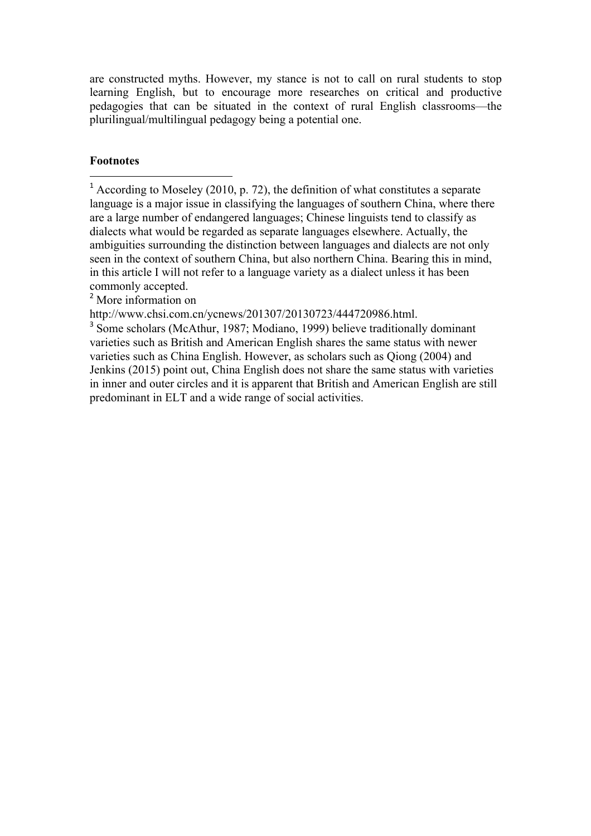are constructed myths. However, my stance is not to call on rural students to stop learning English, but to encourage more researches on critical and productive pedagogies that can be situated in the context of rural English classrooms—the plurilingual/multilingual pedagogy being a potential one.

## **Footnotes**

<sup>1</sup> According to Moseley (2010, p. 72), the definition of what constitutes a separate language is a major issue in classifying the languages of southern China, where there are a large number of endangered languages; Chinese linguists tend to classify as dialects what would be regarded as separate languages elsewhere. Actually, the ambiguities surrounding the distinction between languages and dialects are not only seen in the context of southern China, but also northern China. Bearing this in mind, in this article I will not refer to a language variety as a dialect unless it has been commonly accepted.

<sup>2</sup> More information on

 

http://www.chsi.com.cn/ycnews/201307/20130723/444720986.html.

<sup>3</sup> Some scholars (McAthur, 1987; Modiano, 1999) believe traditionally dominant varieties such as British and American English shares the same status with newer varieties such as China English. However, as scholars such as Qiong (2004) and Jenkins (2015) point out, China English does not share the same status with varieties in inner and outer circles and it is apparent that British and American English are still predominant in ELT and a wide range of social activities.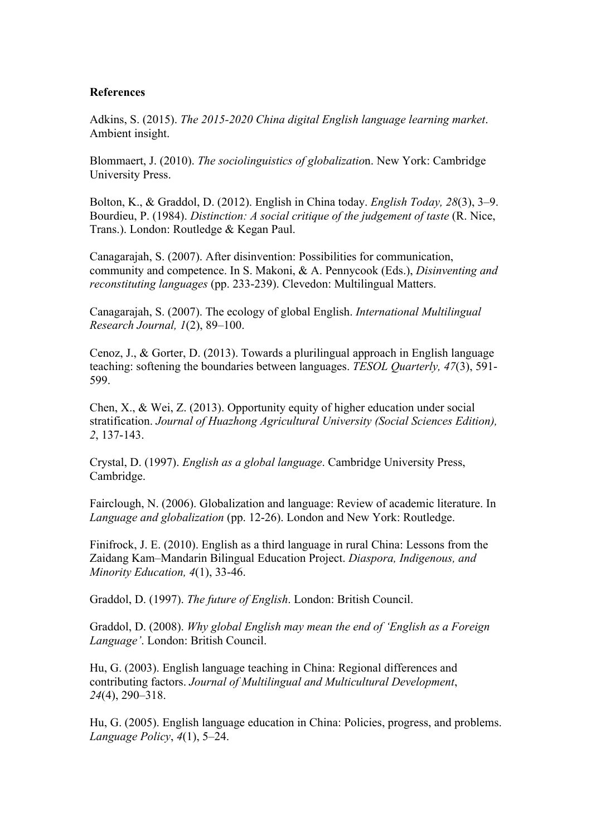#### **References**

Adkins, S. (2015). *The 2015-2020 China digital English language learning market*. Ambient insight.

Blommaert, J. (2010). *The sociolinguistics of globalizatio*n. New York: Cambridge University Press.

Bolton, K., & Graddol, D. (2012). English in China today. *English Today, 28*(3), 3–9. Bourdieu, P. (1984). *Distinction: A social critique of the judgement of taste* (R. Nice, Trans.). London: Routledge & Kegan Paul.

Canagarajah, S. (2007). After disinvention: Possibilities for communication, community and competence. In S. Makoni, & A. Pennycook (Eds.), *Disinventing and reconstituting languages* (pp. 233-239). Clevedon: Multilingual Matters.

Canagarajah, S. (2007). The ecology of global English. *International Multilingual Research Journal, 1*(2), 89–100.

Cenoz, J., & Gorter, D. (2013). Towards a plurilingual approach in English language teaching: softening the boundaries between languages. *TESOL Quarterly, 47*(3), 591- 599.

Chen, X., & Wei, Z. (2013). Opportunity equity of higher education under social stratification. *Journal of Huazhong Agricultural University (Social Sciences Edition), 2*, 137-143.

Crystal, D. (1997). *English as a global language*. Cambridge University Press, Cambridge.

Fairclough, N. (2006). Globalization and language: Review of academic literature. In *Language and globalization* (pp. 12-26). London and New York: Routledge.

Finifrock, J. E. (2010). English as a third language in rural China: Lessons from the Zaidang Kam–Mandarin Bilingual Education Project. *Diaspora, Indigenous, and Minority Education, 4*(1), 33-46.

Graddol, D. (1997). *The future of English*. London: British Council.

Graddol, D. (2008). *Why global English may mean the end of 'English as a Foreign Language'*. London: British Council.

Hu, G. (2003). English language teaching in China: Regional differences and contributing factors. *Journal of Multilingual and Multicultural Development*, *24*(4), 290–318.

Hu, G. (2005). English language education in China: Policies, progress, and problems. *Language Policy*, *4*(1), 5–24.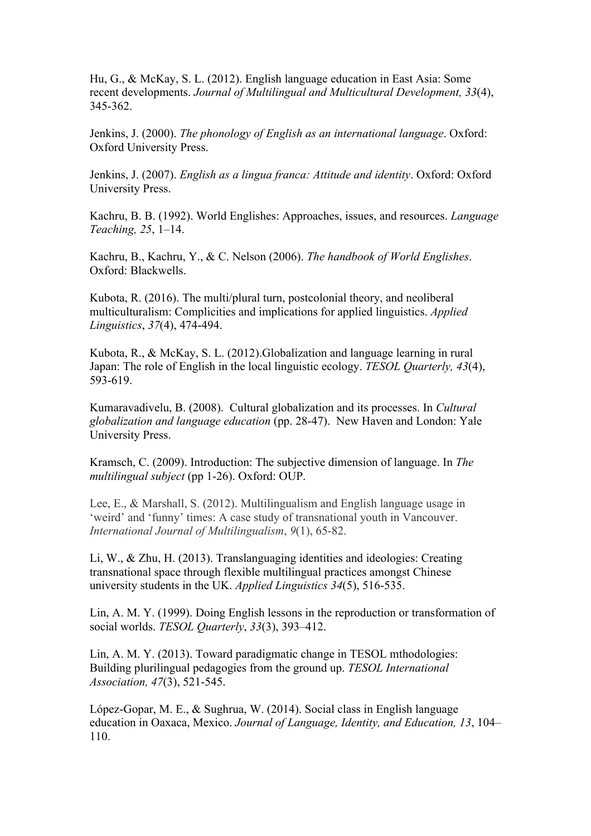Hu, G., & McKay, S. L. (2012). English language education in East Asia: Some recent developments. *Journal of Multilingual and Multicultural Development, 33*(4), 345-362.

Jenkins, J. (2000). *The phonology of English as an international language*. Oxford: Oxford University Press.

Jenkins, J. (2007). *English as a lingua franca: Attitude and identity*. Oxford: Oxford University Press.

Kachru, B. B. (1992). World Englishes: Approaches, issues, and resources. *Language Teaching, 25*, 1–14.

Kachru, B., Kachru, Y., & C. Nelson (2006). *The handbook of World Englishes*. Oxford: Blackwells.

Kubota, R. (2016). The multi/plural turn, postcolonial theory, and neoliberal multiculturalism: Complicities and implications for applied linguistics. *Applied Linguistics*, *37*(4), 474-494.

Kubota, R., & McKay, S. L. (2012).Globalization and language learning in rural Japan: The role of English in the local linguistic ecology. *TESOL Quarterly, 43*(4), 593-619.

Kumaravadivelu, B. (2008). Cultural globalization and its processes. In *Cultural globalization and language education* (pp. 28-47). New Haven and London: Yale University Press.

Kramsch, C. (2009). Introduction: The subjective dimension of language. In *The multilingual subject* (pp 1-26). Oxford: OUP.

Lee, E., & Marshall, S. (2012). Multilingualism and English language usage in 'weird' and 'funny' times: A case study of transnational youth in Vancouver. *International Journal of Multilingualism*, *9*(1), 65-82.

Li, W., & Zhu, H. (2013). Translanguaging identities and ideologies: Creating transnational space through flexible multilingual practices amongst Chinese university students in the UK. *Applied Linguistics 34*(5), 516-535.

Lin, A. M. Y. (1999). Doing English lessons in the reproduction or transformation of social worlds. *TESOL Quarterly*, *33*(3), 393–412.

Lin, A. M. Y. (2013). Toward paradigmatic change in TESOL mthodologies: Building plurilingual pedagogies from the ground up. *TESOL International Association, 47*(3), 521-545.

López-Gopar, M. E., & Sughrua, W. (2014). Social class in English language education in Oaxaca, Mexico. *Journal of Language, Identity, and Education, 13*, 104– 110.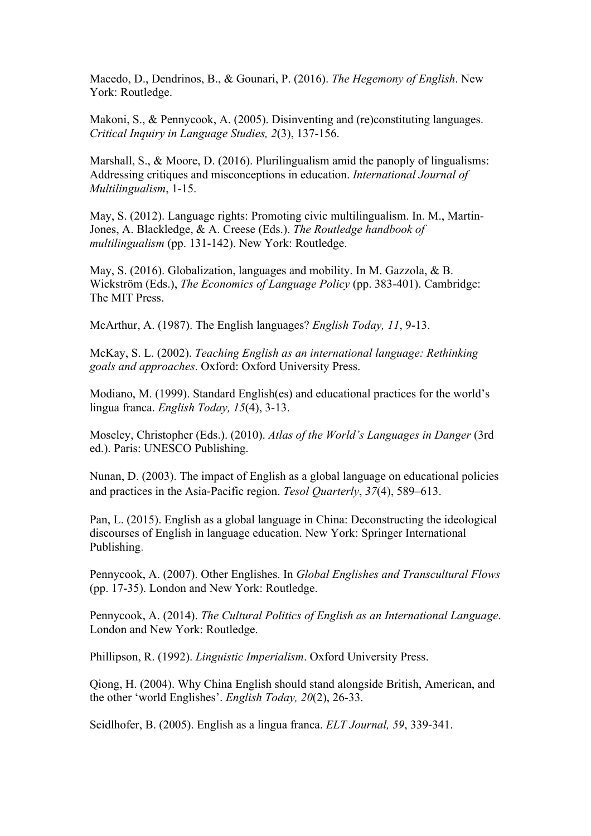Macedo, D., Dendrinos, B., & Gounari, P. (2016). *The Hegemony of English*. New York: Routledge.

Makoni, S., & Pennycook, A. (2005). Disinventing and (re)constituting languages. *Critical Inquiry in Language Studies, 2*(3), 137-156.

Marshall, S., & Moore, D. (2016). Plurilingualism amid the panoply of lingualisms: Addressing critiques and misconceptions in education. *International Journal of Multilingualism*, 1-15.

May, S. (2012). Language rights: Promoting civic multilingualism. In. M., Martin-Jones, A. Blackledge, & A. Creese (Eds.). *The Routledge handbook of multilingualism* (pp. 131-142). New York: Routledge.

May, S. (2016). Globalization, languages and mobility. In M. Gazzola, & B. Wickström (Eds.), *The Economics of Language Policy* (pp. 383-401). Cambridge: The MIT Press.

McArthur, A. (1987). The English languages? *English Today, 11*, 9-13.

McKay, S. L. (2002). *Teaching English as an international language: Rethinking goals and approaches*. Oxford: Oxford University Press.

Modiano, M. (1999). Standard English(es) and educational practices for the world's lingua franca. *English Today, 15*(4), 3-13.

Moseley, Christopher (Eds.). (2010). *Atlas of the World's Languages in Danger* (3rd ed.). Paris: UNESCO Publishing.

Nunan, D. (2003). The impact of English as a global language on educational policies and practices in the Asia-Pacific region. *Tesol Quarterly*, *37*(4), 589–613.

Pan, L. (2015). English as a global language in China: Deconstructing the ideological discourses of English in language education. New York: Springer International Publishing.

Pennycook, A. (2007). Other Englishes. In *Global Englishes and Transcultural Flows* (pp. 17-35). London and New York: Routledge.

Pennycook, A. (2014). *The Cultural Politics of English as an International Language*. London and New York: Routledge.

Phillipson, R. (1992). *Linguistic Imperialism*. Oxford University Press.

Qiong, H. (2004). Why China English should stand alongside British, American, and the other 'world Englishes'. *English Today, 20*(2), 26-33.

Seidlhofer, B. (2005). English as a lingua franca. *ELT Journal, 59*, 339-341.